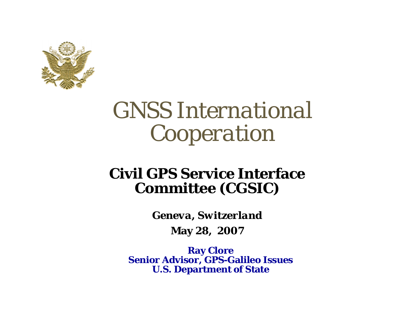

# *GNSS International Cooperation*

#### **Civil GPS Service Interface Committee (CGSIC)**

*Geneva, Switzerland* 

**May 28, 2007**

**Ray Clore Senior Advisor, GPS-Galileo Issues U.S. Department of State**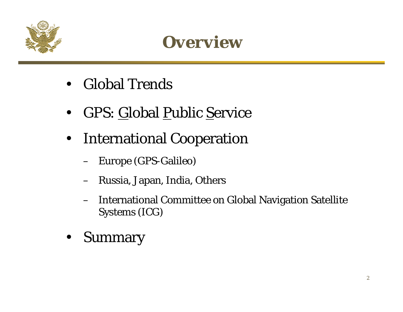



- Global Trends
- $\bullet$ GPS: Global Public Service
- $\bullet$  International Cooperation
	- Europe (GPS-Galileo)
	- Russia, Japan, India, Others
	- International Committee on Global Navigation Satellite Systems (ICG)
- $\bullet$ Summary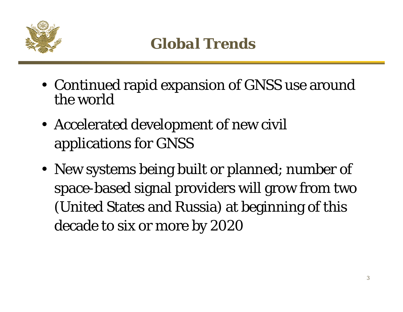

- Continued rapid expansion of GNSS use around the world
- Accelerated development of new civil applications for GNSS
- New systems being built or planned; number of space-based signal providers will grow from two (United States and Russia) at beginning of this decade to six or more by 2020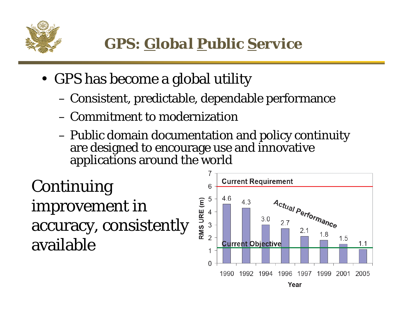

- GPS has become a global utility
	- –Consistent, predictable, dependable performance
	- Commitment to modernization
	- – Public domain documentation and policy continuity are designed to encourage use and innovative applications around the world

Continuing improvement in accuracy, consistently available

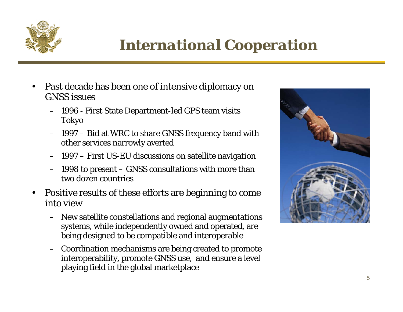

## *International Cooperation*

- • Past decade has been one of intensive diplomacy on GNSS issues
	- 1996 First State Department-led GPS team visits Tokyo
	- 1997 Bid at WRC to share GNSS frequency band with other services narrowly averted
	- 1997 First US-EU discussions on satellite navigation
	- 1998 to present GNSS consultations with more than two dozen countries
- • Positive results of these efforts are beginning to come into view
	- New satellite constellations and regional augmentations systems, while independently owned and operated, are being designed to be compatible and interoperable
	- – Coordination mechanisms are being created to promote interoperability, promote GNSS use, and ensure a level playing field in the global marketplace

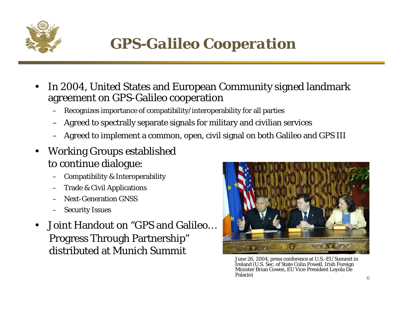

## *GPS-Galileo Cooperation*

- • In 2004, United States and European Community signed landmark agreement on GPS-Galileo cooperation
	- Recognizes importance of compatibility/interoperability for all parties
	- Agreed to spectrally separate signals for military and civilian services
	- Agreed to implement a common, open, civil signal on both Galileo and GPS III
- • Working Groups established to continue dialogue:
	- Compatibility & Interoperability
	- Trade & Civil Applications
	- Next-Generation GNSS
	- Security Issues
- • Joint Handout on "GPS and Galileo…Progress Through Partnership" distributed at Munich Summit



June 26, 2004, press conference at U.S.-EU Summit in Ireland (U.S. Sec. of State Colin Powell, Irish Foreign Minister Brian Cowen, EU Vice-President Loyola De Palacio)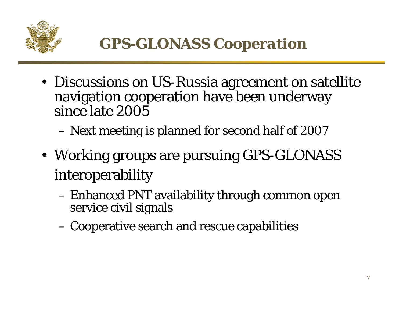

- Discussions on US-Russia agreement on satellite navigation cooperation have been underway since late 2005
	- –Next meeting is planned for second half of 2007
- Working groups are pursuing GPS-GLONASS interoperability
	- – Enhanced PNT availability through common open service civil signals
	- –Cooperative search and rescue capabilities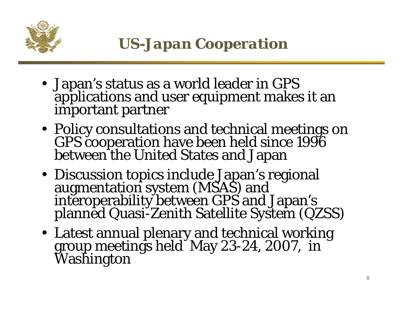

- Japan's status as a world leader in GPS applications and user equipment makes it an important partner
- Policy consultations and technical meetings on GPS cooperation have been held since 1996<br>between the United States and Japan
- Discussion topics include Japan's regional<br>augmentation system (MSAS) and Interoperability between GPS and Japan's planned Quasi-Zenith Satellite System (QZSS)
- Latest annual plenary and technical working group meetings held May 23-24, 2007, in Washington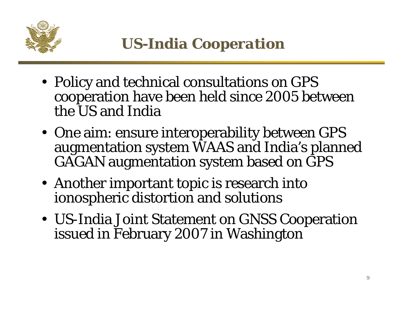

- Policy and technical consultations on GPS cooperation have been held since 2005 between the US and India
- One aim: ensure interoperability between GPS augmentation system WAAS and India's planned GAGAN augmentation system based on GPS
- Another important topic is research into ionospheric distortion and solutions
- US-India Joint Statement on GNSS Cooperation issued in February 2007 in Washington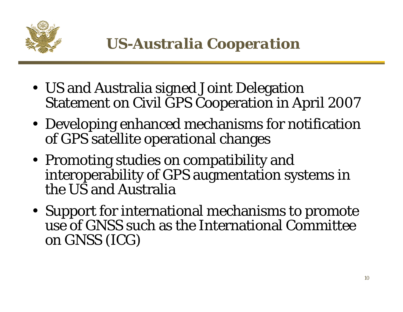

- US and Australia signed Joint Delegation Statement on Civil GPS Cooperation in April 2007
- Developing enhanced mechanisms for notification of GPS satellite operational changes
- Promoting studies on compatibility and interoperability of GPS augmentation systems in the US and Australia
- Support for international mechanisms to promote use of GNSS such as the International Committee on GNSS (ICG)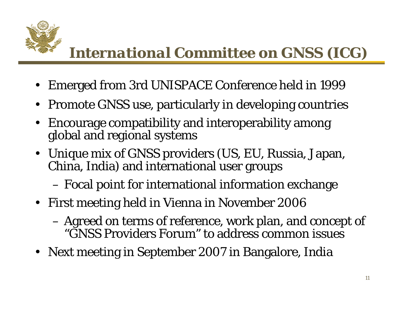

## *International Committee on GNSS (ICG)*

- Emerged from 3rd UNISPACE Conference held in 1999
- Promote GNSS use, particularly in developing countries
- Encourage compatibility and interoperability among global and regional systems
- Unique mix of GNSS providers (US, EU, Russia, Japan, China, India) and international user groups

–Focal point for international information exchange

- First meeting held in Vienna in November 2006
	- – Agreed on terms of reference, work plan, and concept of "GNSS Providers Forum" to address common issues
- Next meeting in September 2007 in Bangalore, India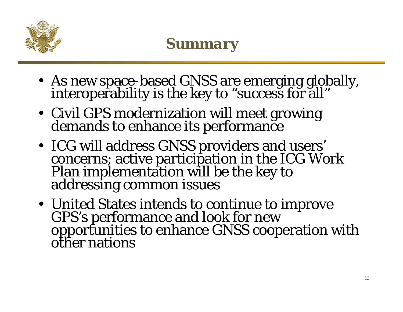

- As new space-based GNSS are emerging globally, interoperability is the key to "success for all"
- Civil GPS modernization will meet growing demands to enhance its performance
- ICG will address GNSS providers and users' concerns; active participation in the ICG Work Plan implementation will be the key to addressing common issues
- United States intends to continue to improve GPS's performance and look for new<br>opportunities to enhance GNSS cooperation with<br>other nations